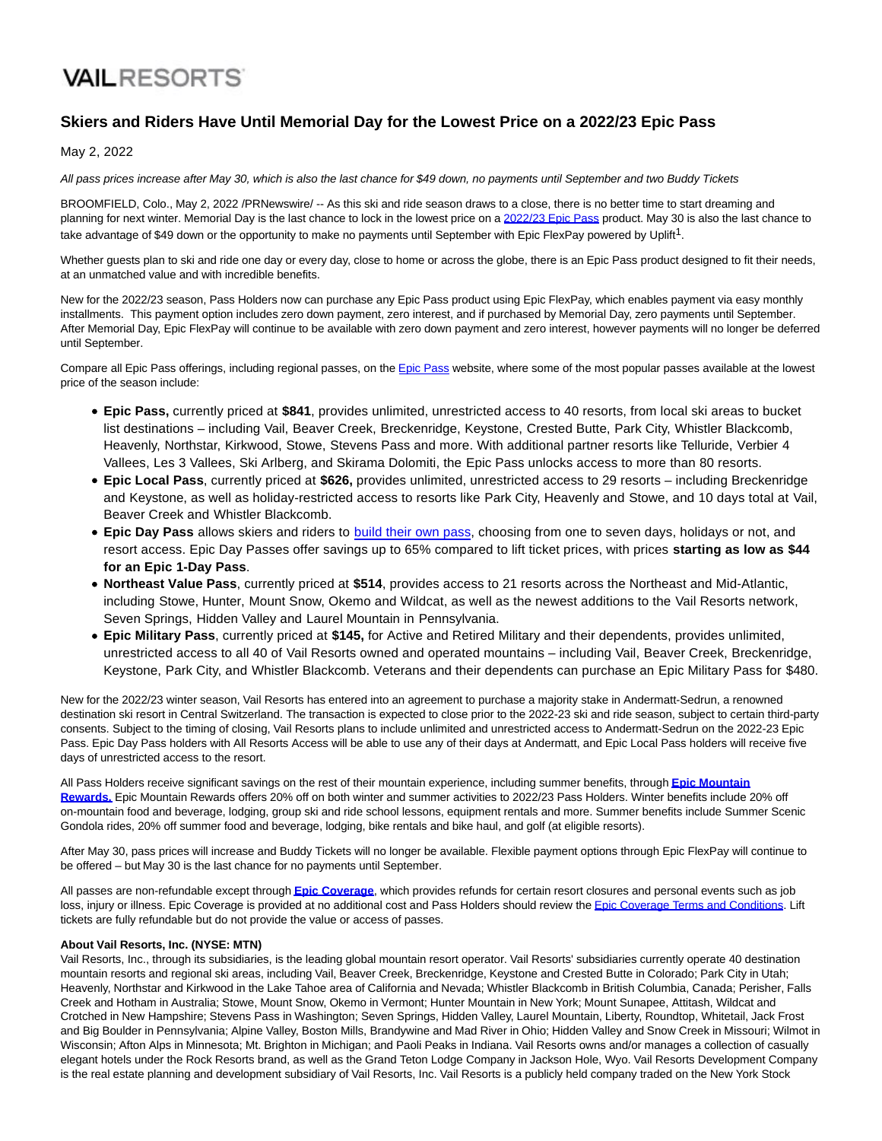## **VAILRESORTS**

## **Skiers and Riders Have Until Memorial Day for the Lowest Price on a 2022/23 Epic Pass**

May 2, 2022

All pass prices increase after May 30, which is also the last chance for \$49 down, no payments until September and two Buddy Tickets

BROOMFIELD, Colo., May 2, 2022 /PRNewswire/ -- As this ski and ride season draws to a close, there is no better time to start dreaming and planning for next winter. Memorial Day is the last chance to lock in the lowest price on a [2022/23 Epic Pass p](https://c212.net/c/link/?t=0&l=en&o=3522729-1&h=3127366764&u=https%3A%2F%2Fwww.epicpass.com%2F&a=2022%2F23+Epic+Pass)roduct. May 30 is also the last chance to take advantage of \$49 down or the opportunity to make no payments until September with Epic FlexPay powered by Uplift<sup>1</sup>.

Whether guests plan to ski and ride one day or every day, close to home or across the globe, there is an Epic Pass product designed to fit their needs, at an unmatched value and with incredible benefits.

New for the 2022/23 season, Pass Holders now can purchase any Epic Pass product using Epic FlexPay, which enables payment via easy monthly installments. This payment option includes zero down payment, zero interest, and if purchased by Memorial Day, zero payments until September. After Memorial Day, Epic FlexPay will continue to be available with zero down payment and zero interest, however payments will no longer be deferred until September.

Compare all Epic Pass offerings, including regional passes, on the [Epic Pass w](https://c212.net/c/link/?t=0&l=en&o=3522729-1&h=3740765470&u=https%3A%2F%2Fwww.epicpass.com%2Fpass-results%2Fpasses.aspx&a=Epic+Pass)ebsite, where some of the most popular passes available at the lowest price of the season include:

- **Epic Pass,** currently priced at **\$841**, provides unlimited, unrestricted access to 40 resorts, from local ski areas to bucket list destinations – including Vail, Beaver Creek, Breckenridge, Keystone, Crested Butte, Park City, Whistler Blackcomb, Heavenly, Northstar, Kirkwood, Stowe, Stevens Pass and more. With additional partner resorts like Telluride, Verbier 4 Vallees, Les 3 Vallees, Ski Arlberg, and Skirama Dolomiti, the Epic Pass unlocks access to more than 80 resorts.
- **Epic Local Pass**, currently priced at **\$626,** provides unlimited, unrestricted access to 29 resorts including Breckenridge and Keystone, as well as holiday-restricted access to resorts like Park City, Heavenly and Stowe, and 10 days total at Vail, Beaver Creek and Whistler Blackcomb.
- **Epic Day Pass** allows skiers and riders to [build their own pass,](https://c212.net/c/link/?t=0&l=en&o=3522729-1&h=837518898&u=https%3A%2F%2Fwww.epicpass.com%2Fpasses%2Fepic-day-pass&a=build+their+own+pass) choosing from one to seven days, holidays or not, and resort access. Epic Day Passes offer savings up to 65% compared to lift ticket prices, with prices **starting as low as \$44 for an Epic 1-Day Pass**.
- **Northeast Value Pass**, currently priced at **\$514**, provides access to 21 resorts across the Northeast and Mid-Atlantic, including Stowe, Hunter, Mount Snow, Okemo and Wildcat, as well as the newest additions to the Vail Resorts network, Seven Springs, Hidden Valley and Laurel Mountain in Pennsylvania.
- **Epic Military Pass**, currently priced at **\$145,** for Active and Retired Military and their dependents, provides unlimited, unrestricted access to all 40 of Vail Resorts owned and operated mountains – including Vail, Beaver Creek, Breckenridge, Keystone, Park City, and Whistler Blackcomb. Veterans and their dependents can purchase an Epic Military Pass for \$480.

New for the 2022/23 winter season, Vail Resorts has entered into an agreement to purchase a majority stake in Andermatt-Sedrun, a renowned destination ski resort in Central Switzerland. The transaction is expected to close prior to the 2022-23 ski and ride season, subject to certain third-party consents. Subject to the timing of closing, Vail Resorts plans to include unlimited and unrestricted access to Andermatt-Sedrun on the 2022-23 Epic Pass. Epic Day Pass holders with All Resorts Access will be able to use any of their days at Andermatt, and Epic Local Pass holders will receive five days of unrestricted access to the resort.

All Pass Holders receive significant savings on the rest of their mountain experience, including summer benefits, through **[Epic Mountain](https://c212.net/c/link/?t=0&l=en&o=3522729-1&h=3666199544&u=https%3A%2F%2Fwww.epicpass.com%2Fbenefits%2Fepic-mountain-rewards.aspx&a=Epic+Mountain+Rewards.) Rewards.** Epic Mountain Rewards offers 20% off on both winter and summer activities to 2022/23 Pass Holders. Winter benefits include 20% off on-mountain food and beverage, lodging, group ski and ride school lessons, equipment rentals and more. Summer benefits include Summer Scenic Gondola rides, 20% off summer food and beverage, lodging, bike rentals and bike haul, and golf (at eligible resorts).

After May 30, pass prices will increase and Buddy Tickets will no longer be available. Flexible payment options through Epic FlexPay will continue to be offered – but May 30 is the last chance for no payments until September.

All passes are non-refundable except through **[Epic Coverage](https://c212.net/c/link/?t=0&l=en&o=3522729-1&h=3047241638&u=https%3A%2F%2Fwww.epicpass.com%2Finfo%2Fepic-coverage.aspx&a=Epic+Coverage)**, which provides refunds for certain resort closures and personal events such as job loss, injury or illness. Epic Coverage is provided at no additional cost and Pass Holders should review the [Epic Coverage Terms and Conditions.](https://c212.net/c/link/?t=0&l=en&o=3522729-1&h=3250289629&u=https%3A%2F%2Fwww.epicpass.com%2Finfo%2Fepic-coverage-terms-and-conditions.aspx&a=Epic+Coverage+Terms+and+Conditions) Lift tickets are fully refundable but do not provide the value or access of passes.

## **About Vail Resorts, Inc. (NYSE: MTN)**

Vail Resorts, Inc., through its subsidiaries, is the leading global mountain resort operator. Vail Resorts' subsidiaries currently operate 40 destination mountain resorts and regional ski areas, including Vail, Beaver Creek, Breckenridge, Keystone and Crested Butte in Colorado; Park City in Utah; Heavenly, Northstar and Kirkwood in the Lake Tahoe area of California and Nevada; Whistler Blackcomb in British Columbia, Canada; Perisher, Falls Creek and Hotham in Australia; Stowe, Mount Snow, Okemo in Vermont; Hunter Mountain in New York; Mount Sunapee, Attitash, Wildcat and Crotched in New Hampshire; Stevens Pass in Washington; Seven Springs, Hidden Valley, Laurel Mountain, Liberty, Roundtop, Whitetail, Jack Frost and Big Boulder in Pennsylvania; Alpine Valley, Boston Mills, Brandywine and Mad River in Ohio; Hidden Valley and Snow Creek in Missouri; Wilmot in Wisconsin; Afton Alps in Minnesota; Mt. Brighton in Michigan; and Paoli Peaks in Indiana. Vail Resorts owns and/or manages a collection of casually elegant hotels under the Rock Resorts brand, as well as the Grand Teton Lodge Company in Jackson Hole, Wyo. Vail Resorts Development Company is the real estate planning and development subsidiary of Vail Resorts, Inc. Vail Resorts is a publicly held company traded on the New York Stock